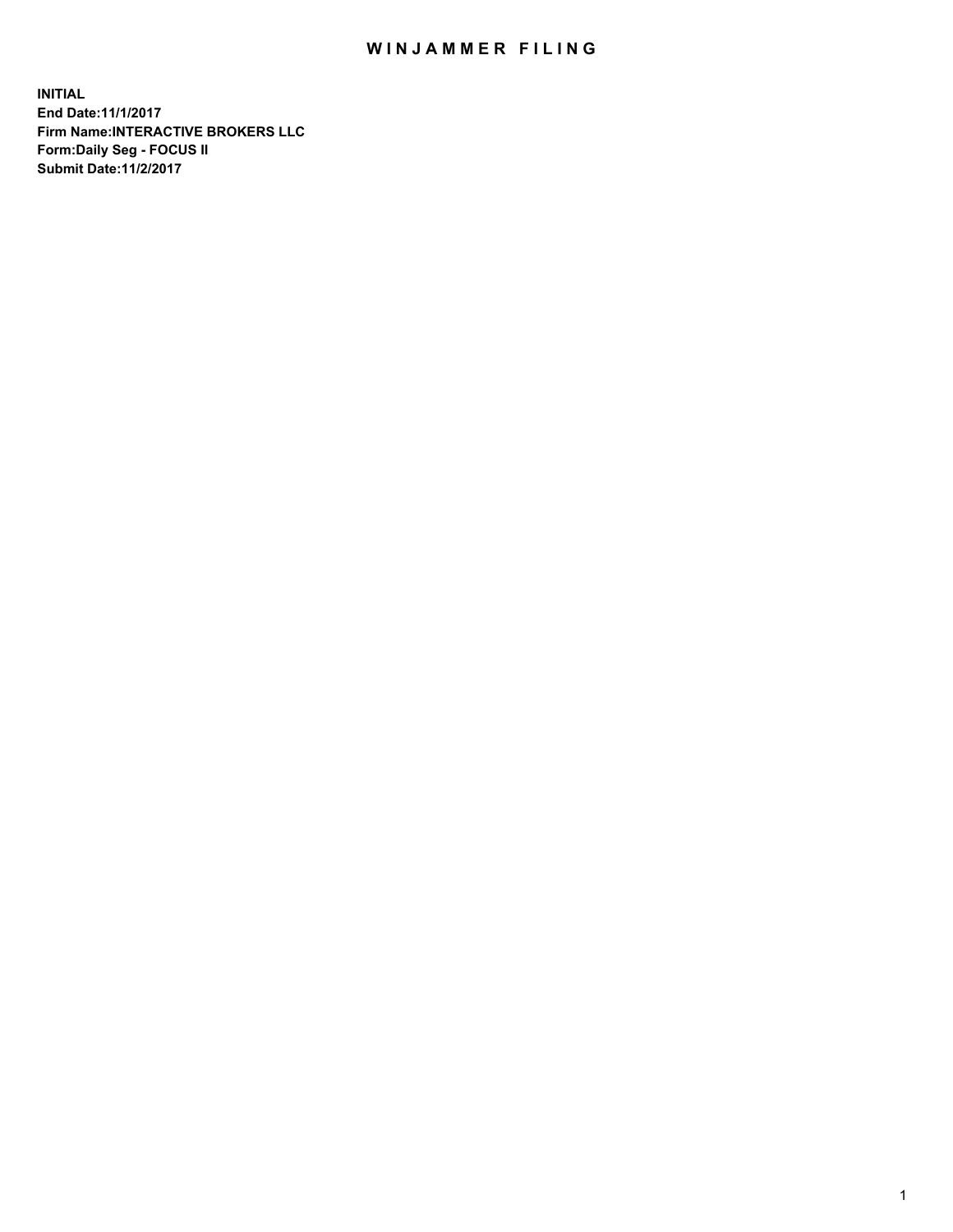## WIN JAMMER FILING

**INITIAL End Date:11/1/2017 Firm Name:INTERACTIVE BROKERS LLC Form:Daily Seg - FOCUS II Submit Date:11/2/2017**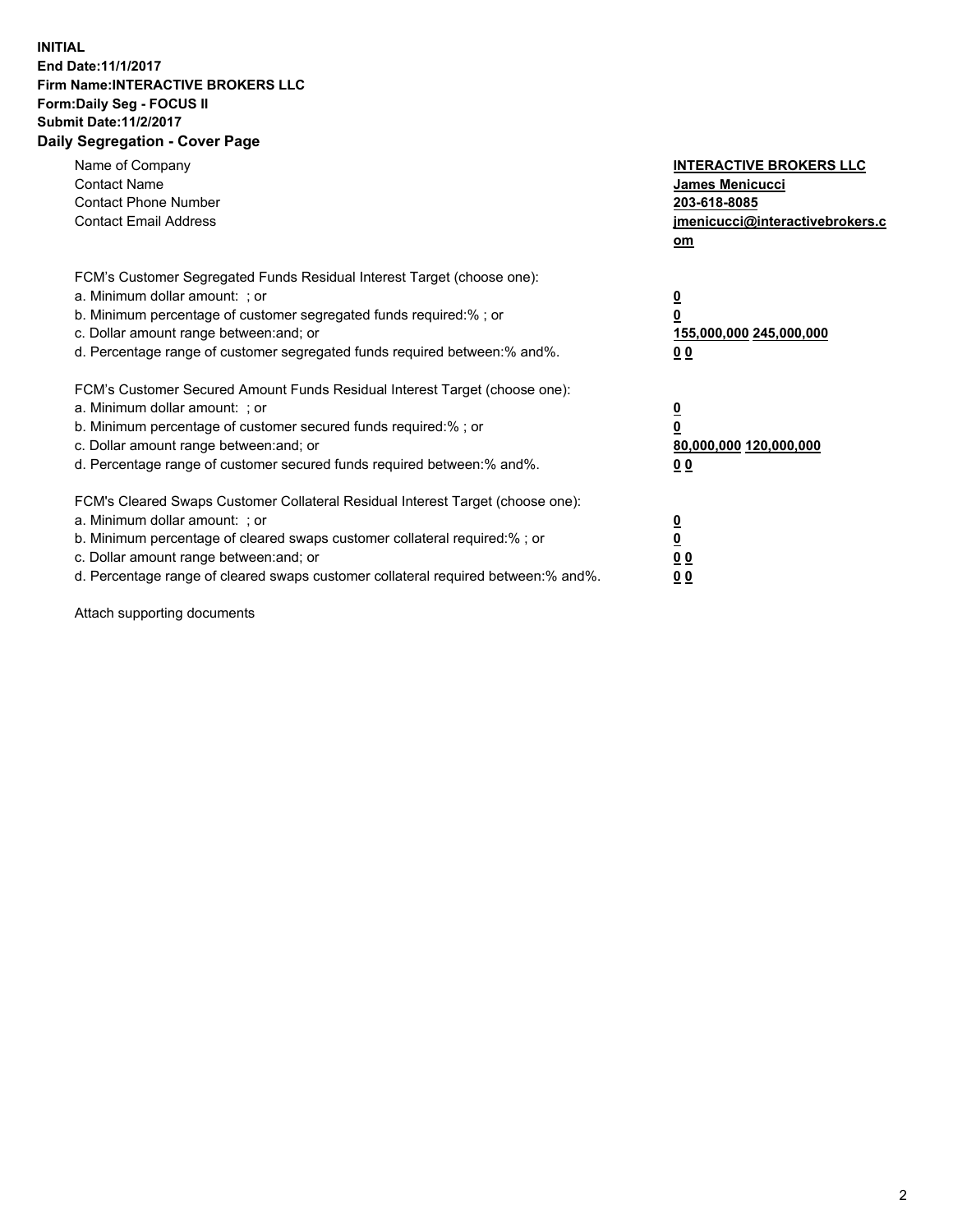## **INITIAL End Date:11/1/2017 Firm Name:INTERACTIVE BROKERS LLC Form:Daily Seg - FOCUS II Submit Date:11/2/2017 Daily Segregation - Cover Page**

| Name of Company<br><b>Contact Name</b><br><b>Contact Phone Number</b><br><b>Contact Email Address</b>                                                                                                                                                                                                                          | <b>INTERACTIVE BROKERS LLC</b><br><b>James Menicucci</b><br>203-618-8085<br>jmenicucci@interactivebrokers.c<br>om |
|--------------------------------------------------------------------------------------------------------------------------------------------------------------------------------------------------------------------------------------------------------------------------------------------------------------------------------|-------------------------------------------------------------------------------------------------------------------|
| FCM's Customer Segregated Funds Residual Interest Target (choose one):<br>a. Minimum dollar amount: ; or<br>b. Minimum percentage of customer segregated funds required:%; or<br>c. Dollar amount range between: and; or<br>d. Percentage range of customer segregated funds required between:% and%.                          | $\overline{\mathbf{0}}$<br>0<br>155,000,000 245,000,000<br>0 <sub>0</sub>                                         |
| FCM's Customer Secured Amount Funds Residual Interest Target (choose one):<br>a. Minimum dollar amount: ; or<br>b. Minimum percentage of customer secured funds required:%; or<br>c. Dollar amount range between: and; or<br>d. Percentage range of customer secured funds required between: % and %.                          | $\overline{\mathbf{0}}$<br>0<br>80,000,000 120,000,000<br>0 <sub>0</sub>                                          |
| FCM's Cleared Swaps Customer Collateral Residual Interest Target (choose one):<br>a. Minimum dollar amount: ; or<br>b. Minimum percentage of cleared swaps customer collateral required:% ; or<br>c. Dollar amount range between: and; or<br>d. Percentage range of cleared swaps customer collateral required between:% and%. | $\overline{\mathbf{0}}$<br>$\overline{\mathbf{0}}$<br>0 <sub>0</sub><br><u>00</u>                                 |

Attach supporting documents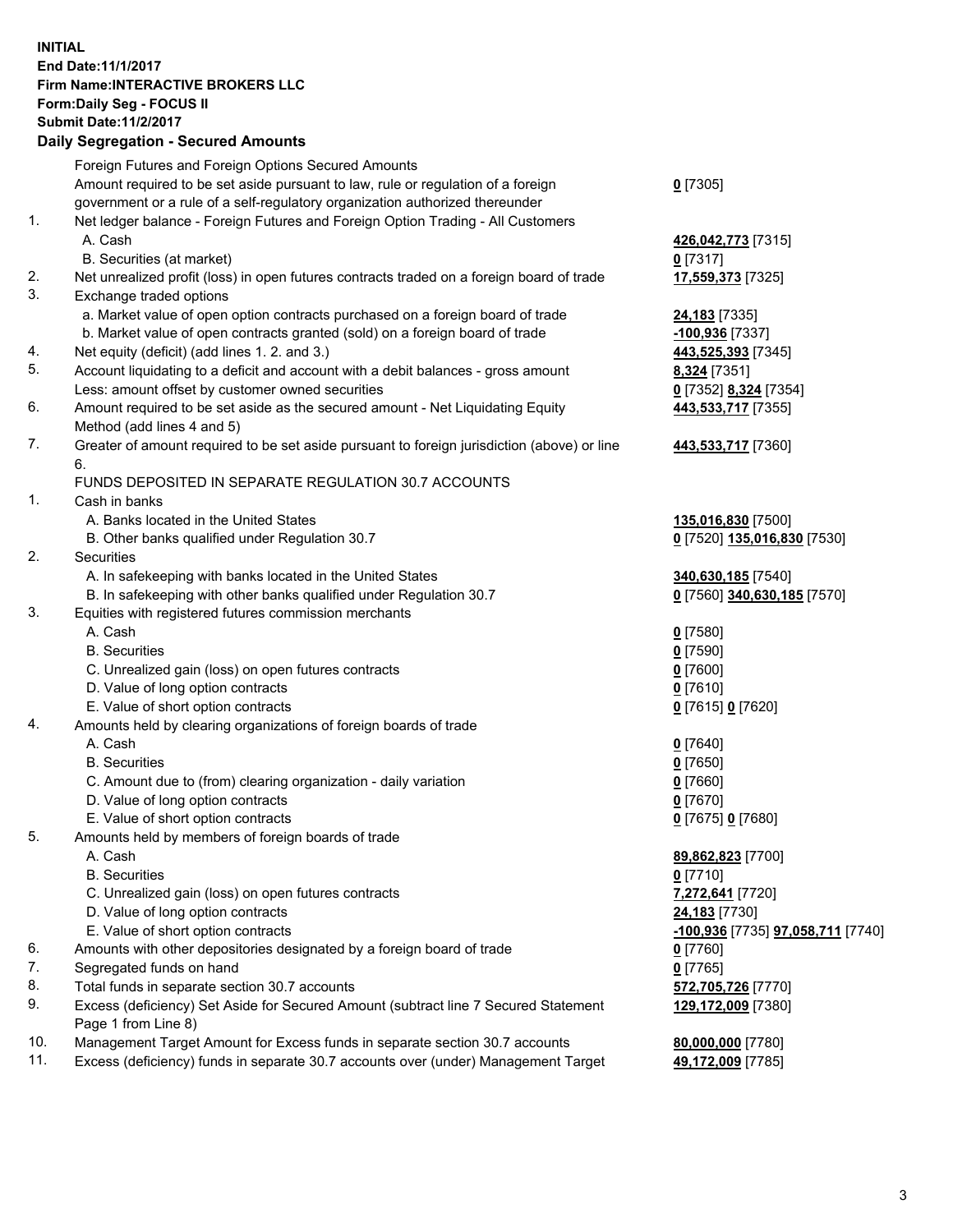## **INITIAL End Date:11/1/2017 Firm Name:INTERACTIVE BROKERS LLC Form:Daily Seg - FOCUS II Submit Date:11/2/2017 Daily Segregation - Secured Amounts**

|     | Dany Ocgregation - Oceanea Annoanta                                                         |                                                 |
|-----|---------------------------------------------------------------------------------------------|-------------------------------------------------|
|     | Foreign Futures and Foreign Options Secured Amounts                                         |                                                 |
|     | Amount required to be set aside pursuant to law, rule or regulation of a foreign            | $0$ [7305]                                      |
|     | government or a rule of a self-regulatory organization authorized thereunder                |                                                 |
| 1.  | Net ledger balance - Foreign Futures and Foreign Option Trading - All Customers             |                                                 |
|     | A. Cash                                                                                     | 426,042,773 [7315]                              |
|     | B. Securities (at market)                                                                   | $0$ [7317]                                      |
| 2.  | Net unrealized profit (loss) in open futures contracts traded on a foreign board of trade   | 17,559,373 [7325]                               |
| 3.  | Exchange traded options                                                                     |                                                 |
|     | a. Market value of open option contracts purchased on a foreign board of trade              | <b>24,183</b> [7335]                            |
|     | b. Market value of open contracts granted (sold) on a foreign board of trade                | -100,936 [7337]                                 |
| 4.  | Net equity (deficit) (add lines 1.2. and 3.)                                                | 443,525,393 [7345]                              |
| 5.  | Account liquidating to a deficit and account with a debit balances - gross amount           | 8,324 [7351]                                    |
|     | Less: amount offset by customer owned securities                                            | 0 [7352] 8,324 [7354]                           |
| 6.  | Amount required to be set aside as the secured amount - Net Liquidating Equity              | 443,533,717 [7355]                              |
|     | Method (add lines 4 and 5)                                                                  |                                                 |
| 7.  | Greater of amount required to be set aside pursuant to foreign jurisdiction (above) or line | 443,533,717 [7360]                              |
|     | 6.                                                                                          |                                                 |
|     | FUNDS DEPOSITED IN SEPARATE REGULATION 30.7 ACCOUNTS                                        |                                                 |
| 1.  | Cash in banks                                                                               |                                                 |
|     | A. Banks located in the United States                                                       | 135,016,830 [7500]                              |
|     | B. Other banks qualified under Regulation 30.7                                              | 0 [7520] 135,016,830 [7530]                     |
| 2.  | Securities                                                                                  |                                                 |
|     | A. In safekeeping with banks located in the United States                                   | 340,630,185 [7540]                              |
|     | B. In safekeeping with other banks qualified under Regulation 30.7                          | 0 [7560] 340,630,185 [7570]                     |
| 3.  | Equities with registered futures commission merchants                                       |                                                 |
|     | A. Cash                                                                                     | $0$ [7580]                                      |
|     | <b>B.</b> Securities                                                                        | $0$ [7590]                                      |
|     | C. Unrealized gain (loss) on open futures contracts                                         | $0$ [7600]                                      |
|     | D. Value of long option contracts                                                           | $0$ [7610]                                      |
|     | E. Value of short option contracts                                                          | 0 [7615] 0 [7620]                               |
| 4.  | Amounts held by clearing organizations of foreign boards of trade                           |                                                 |
|     | A. Cash                                                                                     | $0$ [7640]                                      |
|     | <b>B.</b> Securities                                                                        | $0$ [7650]                                      |
|     | C. Amount due to (from) clearing organization - daily variation                             | $0$ [7660]                                      |
|     | D. Value of long option contracts                                                           | $0$ [7670]                                      |
|     | E. Value of short option contracts                                                          | 0 [7675] 0 [7680]                               |
| 5.  | Amounts held by members of foreign boards of trade                                          |                                                 |
|     | A. Cash                                                                                     | 89,862,823 [7700]                               |
|     | <b>B.</b> Securities                                                                        | $0$ [7710]                                      |
|     | C. Unrealized gain (loss) on open futures contracts                                         | 7,272,641 [7720]                                |
|     | D. Value of long option contracts                                                           | 24,183 [7730]                                   |
|     | E. Value of short option contracts                                                          | <u>-100,936</u> [7735] <b>97,058,711</b> [7740] |
| 6.  | Amounts with other depositories designated by a foreign board of trade                      | $0$ [7760]                                      |
| 7.  | Segregated funds on hand                                                                    | $0$ [7765]                                      |
| 8.  | Total funds in separate section 30.7 accounts                                               | 572,705,726 [7770]                              |
| 9.  | Excess (deficiency) Set Aside for Secured Amount (subtract line 7 Secured Statement         | 129,172,009 [7380]                              |
|     | Page 1 from Line 8)                                                                         |                                                 |
| 10. | Management Target Amount for Excess funds in separate section 30.7 accounts                 | 80,000,000 [7780]                               |
| 11. | Excess (deficiency) funds in separate 30.7 accounts over (under) Management Target          | 49,172,009 [7785]                               |
|     |                                                                                             |                                                 |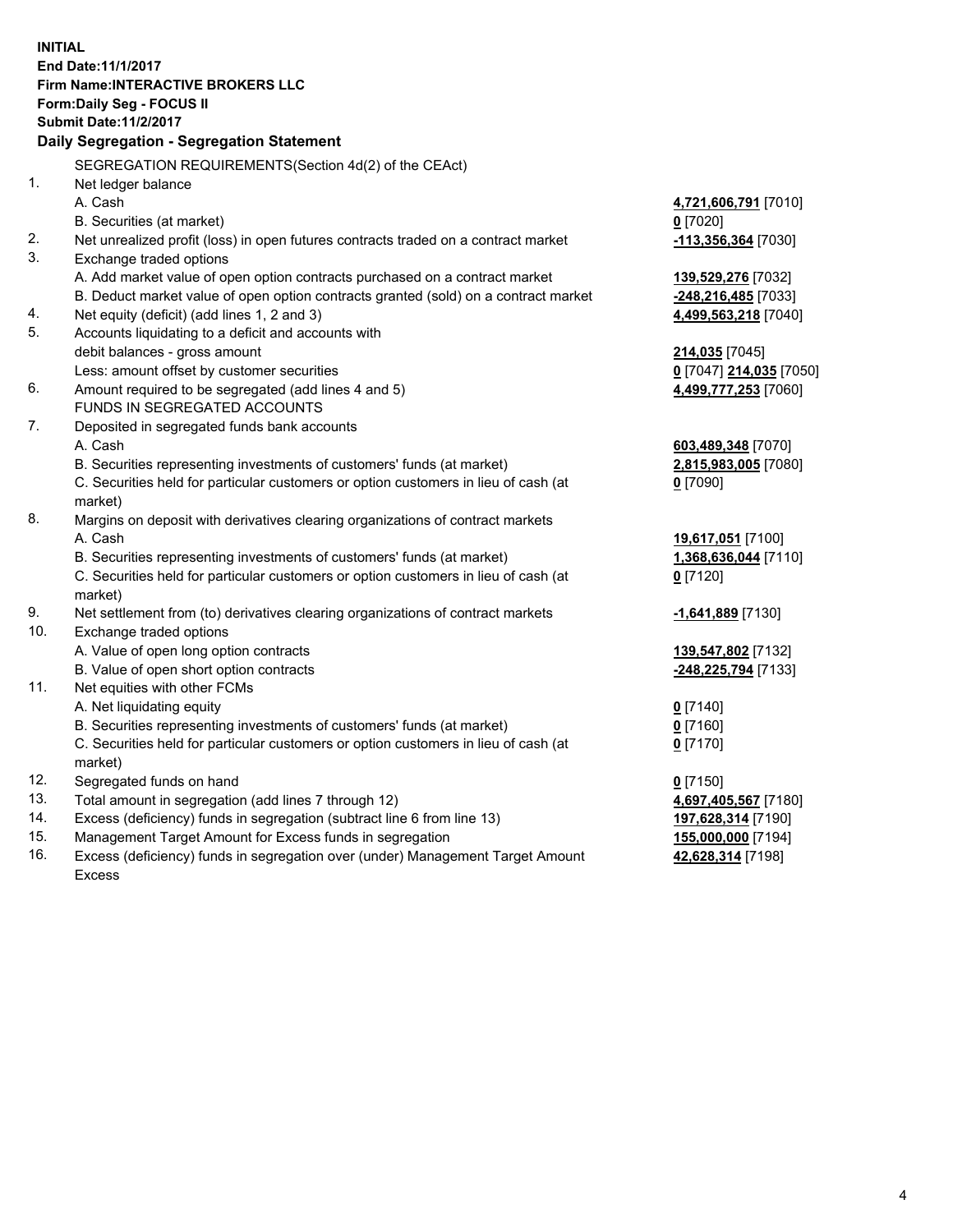**INITIAL End Date:11/1/2017 Firm Name:INTERACTIVE BROKERS LLC Form:Daily Seg - FOCUS II Submit Date:11/2/2017 Daily Segregation - Segregation Statement** SEGREGATION REQUIREMENTS(Section 4d(2) of the CEAct) 1. Net ledger balance A. Cash **4,721,606,791** [7010] B. Securities (at market) **0** [7020] 2. Net unrealized profit (loss) in open futures contracts traded on a contract market **-113,356,364** [7030] 3. Exchange traded options A. Add market value of open option contracts purchased on a contract market **139,529,276** [7032] B. Deduct market value of open option contracts granted (sold) on a contract market **-248,216,485** [7033] 4. Net equity (deficit) (add lines 1, 2 and 3) **4,499,563,218** [7040] 5. Accounts liquidating to a deficit and accounts with debit balances - gross amount **214,035** [7045] Less: amount offset by customer securities **0** [7047] **214,035** [7050] 6. Amount required to be segregated (add lines 4 and 5) **4,499,777,253** [7060] FUNDS IN SEGREGATED ACCOUNTS 7. Deposited in segregated funds bank accounts A. Cash **603,489,348** [7070] B. Securities representing investments of customers' funds (at market) **2,815,983,005** [7080] C. Securities held for particular customers or option customers in lieu of cash (at market) **0** [7090] 8. Margins on deposit with derivatives clearing organizations of contract markets A. Cash **19,617,051** [7100] B. Securities representing investments of customers' funds (at market) **1,368,636,044** [7110] C. Securities held for particular customers or option customers in lieu of cash (at market) **0** [7120] 9. Net settlement from (to) derivatives clearing organizations of contract markets **-1,641,889** [7130] 10. Exchange traded options A. Value of open long option contracts **139,547,802** [7132] B. Value of open short option contracts **-248,225,794** [7133] 11. Net equities with other FCMs A. Net liquidating equity **0** [7140] B. Securities representing investments of customers' funds (at market) **0** [7160] C. Securities held for particular customers or option customers in lieu of cash (at market) **0** [7170] 12. Segregated funds on hand **0** [7150] 13. Total amount in segregation (add lines 7 through 12) **4,697,405,567** [7180] 14. Excess (deficiency) funds in segregation (subtract line 6 from line 13) **197,628,314** [7190] 15. Management Target Amount for Excess funds in segregation **155,000,000** [7194]

16. Excess (deficiency) funds in segregation over (under) Management Target Amount Excess

**42,628,314** [7198]